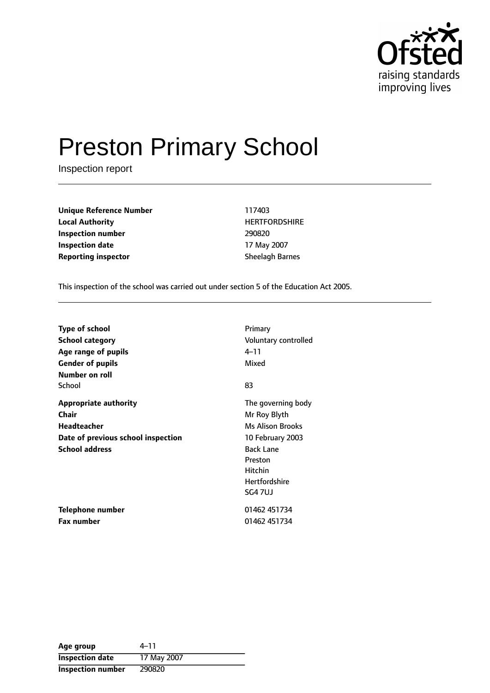

# Preston Primary School

Inspection report

**Unique Reference Number** 117403 **Local Authority HERTFORDSHIRE Inspection number** 290820 **Inspection date** 17 May 2007 **Reporting inspector** Sheelagh Barnes

This inspection of the school was carried out under section 5 of the Education Act 2005.

| <b>Type of school</b>              | Primary              |
|------------------------------------|----------------------|
| <b>School category</b>             | Voluntary controlled |
| Age range of pupils                | 4–11                 |
| <b>Gender of pupils</b>            | Mixed                |
| Number on roll                     |                      |
| School                             | 83                   |
| <b>Appropriate authority</b>       | The governing body   |
| Chair                              | Mr Roy Blyth         |
| <b>Headteacher</b>                 | Ms Alison Brooks     |
| Date of previous school inspection | 10 February 2003     |
| <b>School address</b>              | <b>Back Lane</b>     |
|                                    | Preston              |
|                                    | <b>Hitchin</b>       |
|                                    | <b>Hertfordshire</b> |
|                                    | SG4 7UJ              |
| Telephone number                   | 01462 451734         |
| <b>Fax number</b>                  | 01462 451734         |

| Age group                | 4–11        |
|--------------------------|-------------|
| <b>Inspection date</b>   | 17 May 2007 |
| <b>Inspection number</b> | 290820      |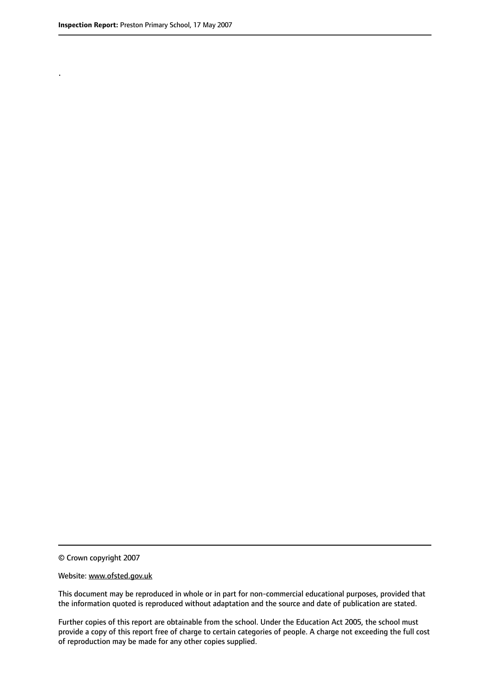.

© Crown copyright 2007

#### Website: www.ofsted.gov.uk

This document may be reproduced in whole or in part for non-commercial educational purposes, provided that the information quoted is reproduced without adaptation and the source and date of publication are stated.

Further copies of this report are obtainable from the school. Under the Education Act 2005, the school must provide a copy of this report free of charge to certain categories of people. A charge not exceeding the full cost of reproduction may be made for any other copies supplied.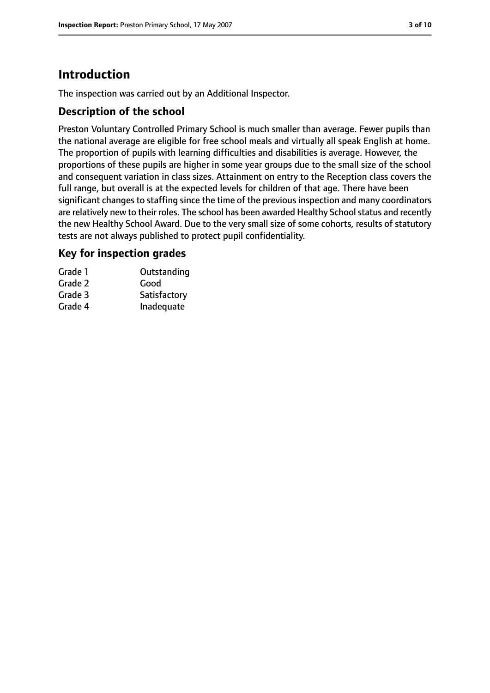## **Introduction**

The inspection was carried out by an Additional Inspector.

#### **Description of the school**

Preston Voluntary Controlled Primary School is much smaller than average. Fewer pupils than the national average are eligible for free school meals and virtually all speak English at home. The proportion of pupils with learning difficulties and disabilities is average. However, the proportions of these pupils are higher in some year groups due to the small size of the school and consequent variation in class sizes. Attainment on entry to the Reception class covers the full range, but overall is at the expected levels for children of that age. There have been significant changes to staffing since the time of the previous inspection and many coordinators are relatively new to their roles. The school has been awarded Healthy School status and recently the new Healthy School Award. Due to the very small size of some cohorts, results of statutory tests are not always published to protect pupil confidentiality.

#### **Key for inspection grades**

| Grade 1 | Outstanding  |
|---------|--------------|
| Grade 2 | Good         |
| Grade 3 | Satisfactory |
| Grade 4 | Inadequate   |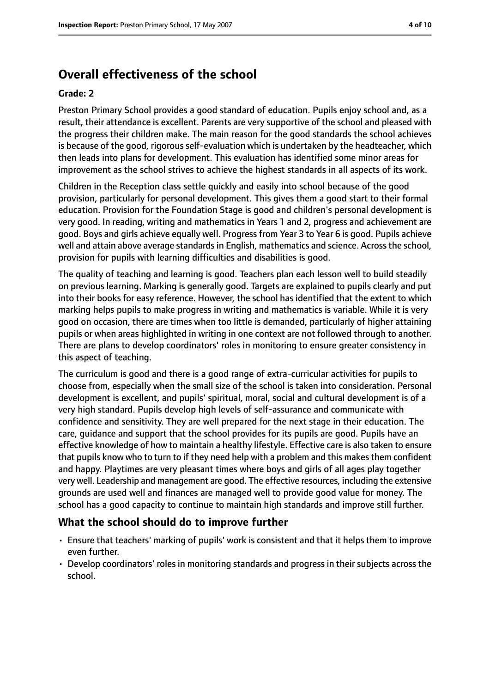## **Overall effectiveness of the school**

#### **Grade: 2**

Preston Primary School provides a good standard of education. Pupils enjoy school and, as a result, their attendance is excellent. Parents are very supportive of the school and pleased with the progress their children make. The main reason for the good standards the school achieves is because of the good, rigorous self-evaluation which is undertaken by the headteacher, which then leads into plans for development. This evaluation has identified some minor areas for improvement as the school strives to achieve the highest standards in all aspects of its work.

Children in the Reception class settle quickly and easily into school because of the good provision, particularly for personal development. This gives them a good start to their formal education. Provision for the Foundation Stage is good and children's personal development is very good. In reading, writing and mathematics in Years 1 and 2, progress and achievement are good. Boys and girls achieve equally well. Progress from Year 3 to Year 6 is good. Pupils achieve well and attain above average standards in English, mathematics and science. Across the school, provision for pupils with learning difficulties and disabilities is good.

The quality of teaching and learning is good. Teachers plan each lesson well to build steadily on previous learning. Marking is generally good. Targets are explained to pupils clearly and put into their books for easy reference. However, the school has identified that the extent to which marking helps pupils to make progress in writing and mathematics is variable. While it is very good on occasion, there are times when too little is demanded, particularly of higher attaining pupils or when areas highlighted in writing in one context are not followed through to another. There are plans to develop coordinators' roles in monitoring to ensure greater consistency in this aspect of teaching.

The curriculum is good and there is a good range of extra-curricular activities for pupils to choose from, especially when the small size of the school is taken into consideration. Personal development is excellent, and pupils' spiritual, moral, social and cultural development is of a very high standard. Pupils develop high levels of self-assurance and communicate with confidence and sensitivity. They are well prepared for the next stage in their education. The care, guidance and support that the school provides for its pupils are good. Pupils have an effective knowledge of how to maintain a healthy lifestyle. Effective care is also taken to ensure that pupils know who to turn to if they need help with a problem and this makes them confident and happy. Playtimes are very pleasant times where boys and girls of all ages play together very well. Leadership and management are good. The effective resources, including the extensive grounds are used well and finances are managed well to provide good value for money. The school has a good capacity to continue to maintain high standards and improve still further.

#### **What the school should do to improve further**

- Ensure that teachers' marking of pupils' work is consistent and that it helps them to improve even further.
- Develop coordinators' roles in monitoring standards and progress in their subjects across the school.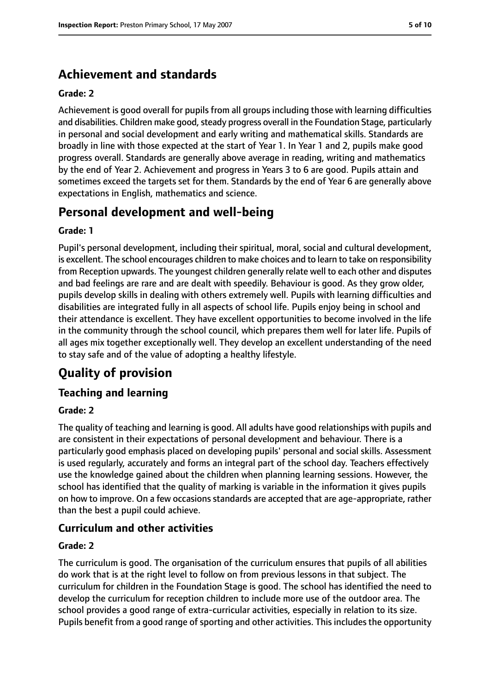## **Achievement and standards**

#### **Grade: 2**

Achievement is good overall for pupils from all groups including those with learning difficulties and disabilities. Children make good, steady progress overall in the Foundation Stage, particularly in personal and social development and early writing and mathematical skills. Standards are broadly in line with those expected at the start of Year 1. In Year 1 and 2, pupils make good progress overall. Standards are generally above average in reading, writing and mathematics by the end of Year 2. Achievement and progress in Years 3 to 6 are good. Pupils attain and sometimes exceed the targets set for them. Standards by the end of Year 6 are generally above expectations in English, mathematics and science.

## **Personal development and well-being**

#### **Grade: 1**

Pupil's personal development, including their spiritual, moral, social and cultural development, is excellent. The school encourages children to make choices and to learn to take on responsibility from Reception upwards. The youngest children generally relate well to each other and disputes and bad feelings are rare and are dealt with speedily. Behaviour is good. As they grow older, pupils develop skills in dealing with others extremely well. Pupils with learning difficulties and disabilities are integrated fully in all aspects of school life. Pupils enjoy being in school and their attendance is excellent. They have excellent opportunities to become involved in the life in the community through the school council, which prepares them well for later life. Pupils of all ages mix together exceptionally well. They develop an excellent understanding of the need to stay safe and of the value of adopting a healthy lifestyle.

## **Quality of provision**

#### **Teaching and learning**

#### **Grade: 2**

The quality of teaching and learning is good. All adults have good relationships with pupils and are consistent in their expectations of personal development and behaviour. There is a particularly good emphasis placed on developing pupils' personal and social skills. Assessment is used regularly, accurately and forms an integral part of the school day. Teachers effectively use the knowledge gained about the children when planning learning sessions. However, the school has identified that the quality of marking is variable in the information it gives pupils on how to improve. On a few occasions standards are accepted that are age-appropriate, rather than the best a pupil could achieve.

#### **Curriculum and other activities**

#### **Grade: 2**

The curriculum is good. The organisation of the curriculum ensures that pupils of all abilities do work that is at the right level to follow on from previous lessons in that subject. The curriculum for children in the Foundation Stage is good. The school has identified the need to develop the curriculum for reception children to include more use of the outdoor area. The school provides a good range of extra-curricular activities, especially in relation to its size. Pupils benefit from a good range of sporting and other activities. This includes the opportunity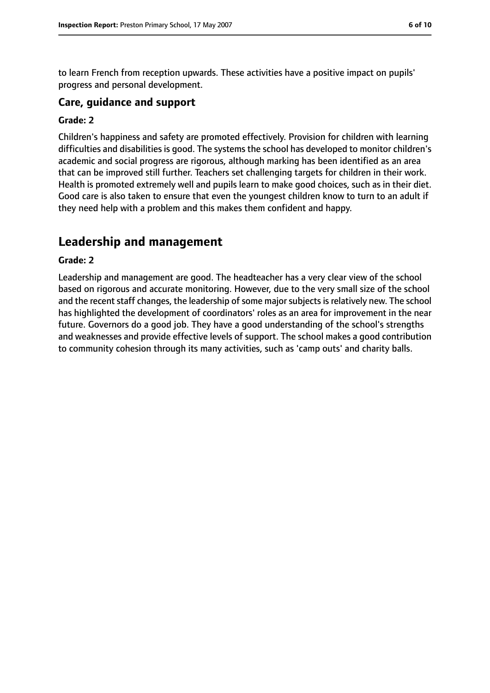to learn French from reception upwards. These activities have a positive impact on pupils' progress and personal development.

#### **Care, guidance and support**

#### **Grade: 2**

Children's happiness and safety are promoted effectively. Provision for children with learning difficulties and disabilities is good. The systems the school has developed to monitor children's academic and social progress are rigorous, although marking has been identified as an area that can be improved still further. Teachers set challenging targets for children in their work. Health is promoted extremely well and pupils learn to make good choices, such as in their diet. Good care is also taken to ensure that even the youngest children know to turn to an adult if they need help with a problem and this makes them confident and happy.

## **Leadership and management**

#### **Grade: 2**

Leadership and management are good. The headteacher has a very clear view of the school based on rigorous and accurate monitoring. However, due to the very small size of the school and the recent staff changes, the leadership of some major subjects is relatively new. The school has highlighted the development of coordinators' roles as an area for improvement in the near future. Governors do a good job. They have a good understanding of the school's strengths and weaknesses and provide effective levels of support. The school makes a good contribution to community cohesion through its many activities, such as 'camp outs' and charity balls.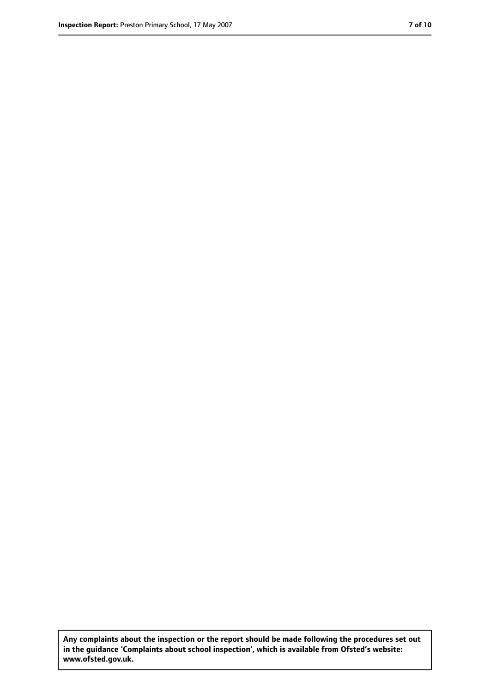**Any complaints about the inspection or the report should be made following the procedures set out in the guidance 'Complaints about school inspection', which is available from Ofsted's website: www.ofsted.gov.uk.**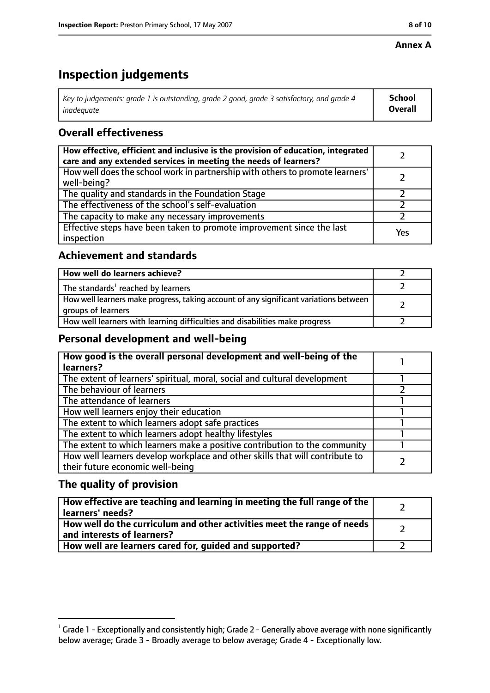#### **Annex A**

## **Inspection judgements**

| Key to judgements: grade 1 is outstanding, grade 2 good, grade 3 satisfactory, and grade 4 $\,$ | <b>School</b>  |
|-------------------------------------------------------------------------------------------------|----------------|
| inadequate                                                                                      | <b>Overall</b> |

#### **Overall effectiveness**

| How effective, efficient and inclusive is the provision of education, integrated<br>care and any extended services in meeting the needs of learners? |     |
|------------------------------------------------------------------------------------------------------------------------------------------------------|-----|
| How well does the school work in partnership with others to promote learners'<br>well-being?                                                         |     |
| The quality and standards in the Foundation Stage                                                                                                    |     |
| The effectiveness of the school's self-evaluation                                                                                                    |     |
| The capacity to make any necessary improvements                                                                                                      |     |
| Effective steps have been taken to promote improvement since the last<br>inspection                                                                  | Yes |

#### **Achievement and standards**

| How well do learners achieve?                                                                               |  |
|-------------------------------------------------------------------------------------------------------------|--|
| The standards <sup>1</sup> reached by learners                                                              |  |
| How well learners make progress, taking account of any significant variations between<br>groups of learners |  |
| How well learners with learning difficulties and disabilities make progress                                 |  |

#### **Personal development and well-being**

| How good is the overall personal development and well-being of the<br>learners?                                  |  |
|------------------------------------------------------------------------------------------------------------------|--|
| The extent of learners' spiritual, moral, social and cultural development                                        |  |
| The behaviour of learners                                                                                        |  |
| The attendance of learners                                                                                       |  |
| How well learners enjoy their education                                                                          |  |
| The extent to which learners adopt safe practices                                                                |  |
| The extent to which learners adopt healthy lifestyles                                                            |  |
| The extent to which learners make a positive contribution to the community                                       |  |
| How well learners develop workplace and other skills that will contribute to<br>their future economic well-being |  |

#### **The quality of provision**

| How effective are teaching and learning in meeting the full range of the<br>learners' needs?          |  |
|-------------------------------------------------------------------------------------------------------|--|
| How well do the curriculum and other activities meet the range of needs<br>and interests of learners? |  |
| How well are learners cared for, quided and supported?                                                |  |

 $^1$  Grade 1 - Exceptionally and consistently high; Grade 2 - Generally above average with none significantly below average; Grade 3 - Broadly average to below average; Grade 4 - Exceptionally low.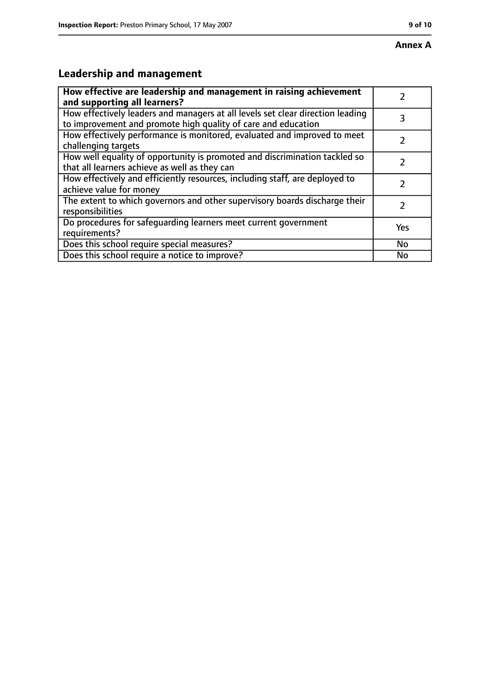## **Leadership and management**

| How effective are leadership and management in raising achievement<br>and supporting all learners?                                              |               |
|-------------------------------------------------------------------------------------------------------------------------------------------------|---------------|
| How effectively leaders and managers at all levels set clear direction leading<br>to improvement and promote high quality of care and education | 3             |
| How effectively performance is monitored, evaluated and improved to meet<br>challenging targets                                                 |               |
| How well equality of opportunity is promoted and discrimination tackled so<br>that all learners achieve as well as they can                     |               |
| How effectively and efficiently resources, including staff, are deployed to<br>achieve value for money                                          | 7             |
| The extent to which governors and other supervisory boards discharge their<br>responsibilities                                                  | $\mathcal{L}$ |
| Do procedures for safequarding learners meet current government<br>requirements?                                                                | Yes           |
| Does this school require special measures?                                                                                                      | No            |
| Does this school require a notice to improve?                                                                                                   | No            |